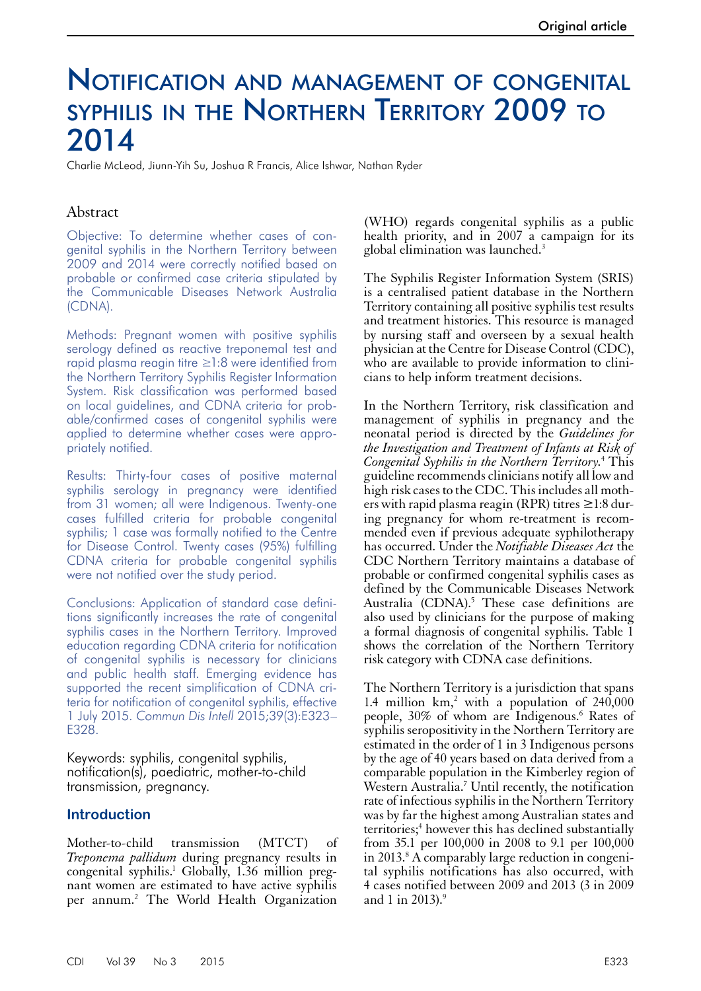# Notification and management of congenital SYPHILIS IN THE NORTHERN TERRITORY 2009 TO 2014

Charlie McLeod, Jiunn-Yih Su, Joshua R Francis, Alice Ishwar, Nathan Ryder

#### Abstract

Objective: To determine whether cases of congenital syphilis in the Northern Territory between 2009 and 2014 were correctly notified based on probable or confirmed case criteria stipulated by the Communicable Diseases Network Australia (CDNA).

Methods: Pregnant women with positive syphilis serology defined as reactive treponemal test and rapid plasma reagin titre ≥1:8 were identified from the Northern Territory Syphilis Register Information System. Risk classification was performed based on local guidelines, and CDNA criteria for probable/confirmed cases of congenital syphilis were applied to determine whether cases were appropriately notified.

Results: Thirty-four cases of positive maternal syphilis serology in pregnancy were identified from 31 women; all were Indigenous. Twenty-one cases fulfilled criteria for probable congenital syphilis; 1 case was formally notified to the Centre for Disease Control. Twenty cases (95%) fulfilling CDNA criteria for probable congenital syphilis were not notified over the study period.

Conclusions: Application of standard case definitions significantly increases the rate of congenital syphilis cases in the Northern Territory. Improved education regarding CDNA criteria for notification of congenital syphilis is necessary for clinicians and public health staff. Emerging evidence has supported the recent simplification of CDNA criteria for notification of congenital syphilis, effective 1 July 2015. *Commun Dis Intell* 2015;39(3):E323– E328.

Keywords: syphilis, congenital syphilis, notification(s), paediatric, mother-to-child transmission, pregnancy.

#### **Introduction**

Mother-to-child transmission (MTCT) of *Treponema pallidum* during pregnancy results in congenital syphilis.1 Globally, 1.36 million pregnant women are estimated to have active syphilis per annum.<sup>2</sup> The World Health Organization

(WHO) regards congenital syphilis as a public health priority, and in 2007 a campaign for its global elimination was launched.3

The Syphilis Register Information System (SRIS) is a centralised patient database in the Northern Territory containing all positive syphilis test results and treatment histories. This resource is managed by nursing staff and overseen by a sexual health physician at the Centre for Disease Control (CDC), who are available to provide information to clinicians to help inform treatment decisions.

In the Northern Territory, risk classification and management of syphilis in pregnancy and the neonatal period is directed by the *Guidelines for the Investigation and Treatment of Infants at Risk of Congenital Syphilis in the Northern Territory.*<sup>4</sup> This guideline recommends clinicians notify all low and high risk cases to the CDC. This includes all mothers with rapid plasma reagin (RPR) titres  $\geq 1:8$  during pregnancy for whom re-treatment is recommended even if previous adequate syphilotherapy has occurred. Under the *Notifiable Diseases Act* the CDC Northern Territory maintains a database of probable or confirmed congenital syphilis cases as defined by the Communicable Diseases Network Australia (CDNA).<sup>5</sup> These case definitions are also used by clinicians for the purpose of making a formal diagnosis of congenital syphilis. Table 1 shows the correlation of the Northern Territory risk category with CDNA case definitions.

The Northern Territory is a jurisdiction that spans 1.4 million  $km$ ,<sup>2</sup> with a population of  $240,000$ people, 30% of whom are Indigenous.<sup>6</sup> Rates of syphilis seropositivity in the Northern Territory are estimated in the order of 1 in 3 Indigenous persons by the age of 40 years based on data derived from a comparable population in the Kimberley region of Western Australia.<sup>7</sup> Until recently, the notification rate of infectious syphilis in the Northern Territory was by far the highest among Australian states and territories;<sup>4</sup> however this has declined substantially from 35.1 per 100,000 in 2008 to 9.1 per 100,000 in 2013.<sup>8</sup> A comparably large reduction in congenital syphilis notifications has also occurred, with 4 cases notified between 2009 and 2013 (3 in 2009 and 1 in 2013). $9$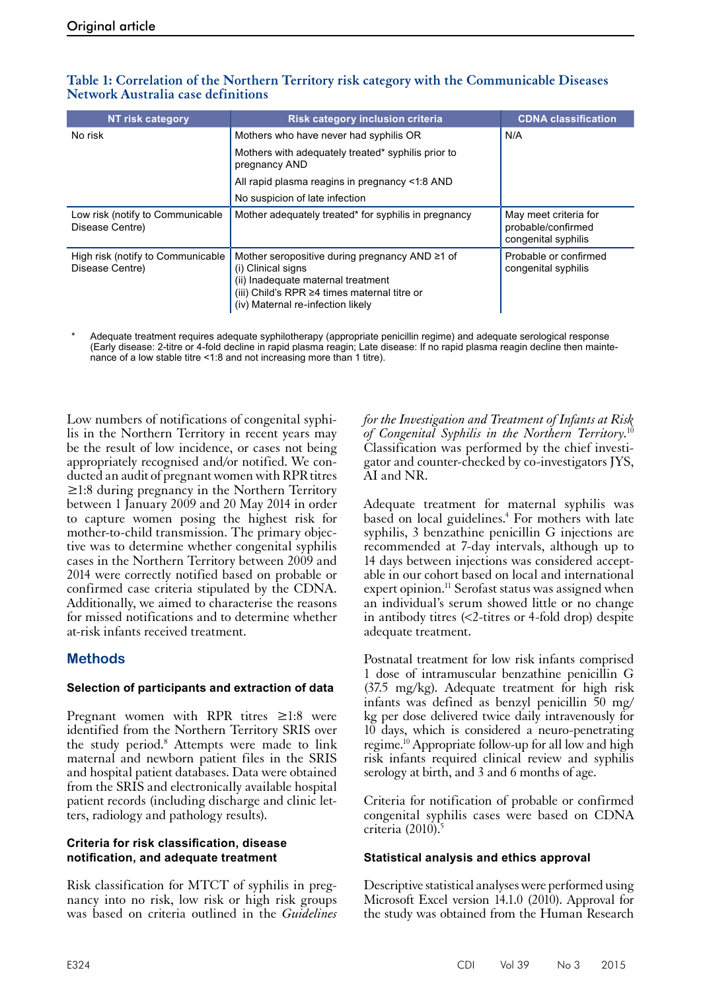| NT risk category                                     | <b>Risk category inclusion criteria</b>                                                                                                                                                                     | <b>CDNA classification</b>                                         |
|------------------------------------------------------|-------------------------------------------------------------------------------------------------------------------------------------------------------------------------------------------------------------|--------------------------------------------------------------------|
| No risk                                              | Mothers who have never had syphilis OR                                                                                                                                                                      | N/A                                                                |
|                                                      | Mothers with adequately treated* syphilis prior to<br>pregnancy AND                                                                                                                                         |                                                                    |
|                                                      | All rapid plasma reagins in pregnancy <1:8 AND                                                                                                                                                              |                                                                    |
|                                                      | No suspicion of late infection                                                                                                                                                                              |                                                                    |
| Low risk (notify to Communicable<br>Disease Centre)  | Mother adequately treated* for syphilis in pregnancy                                                                                                                                                        | May meet criteria for<br>probable/confirmed<br>congenital syphilis |
| High risk (notify to Communicable<br>Disease Centre) | Mother seropositive during pregnancy AND $\geq 1$ of<br>(i) Clinical signs<br>(ii) Inadequate maternal treatment<br>(iii) Child's RPR $\geq$ 4 times maternal titre or<br>(iv) Maternal re-infection likely | Probable or confirmed<br>congenital syphilis                       |

# **Table 1: Correlation of the Northern Territory risk category with the Communicable Diseases Network Australia case definitions**

Adequate treatment requires adequate syphilotherapy (appropriate penicillin regime) and adequate serological response (Early disease: 2-titre or 4-fold decline in rapid plasma reagin; Late disease: If no rapid plasma reagin decline then maintenance of a low stable titre <1:8 and not increasing more than 1 titre).

Low numbers of notifications of congenital syphilis in the Northern Territory in recent years may be the result of low incidence, or cases not being appropriately recognised and/or notified. We conducted an audit of pregnant women with RPR titres ≥1:8 during pregnancy in the Northern Territory between 1 January 2009 and 20 May 2014 in order to capture women posing the highest risk for mother-to-child transmission. The primary objective was to determine whether congenital syphilis cases in the Northern Territory between 2009 and 2014 were correctly notified based on probable or confirmed case criteria stipulated by the CDNA. Additionally, we aimed to characterise the reasons for missed notifications and to determine whether at-risk infants received treatment.

# **Methods**

# **Selection of participants and extraction of data**

Pregnant women with RPR titres ≥1:8 were identified from the Northern Territory SRIS over the study period.<sup>8</sup> Attempts were made to link maternal and newborn patient files in the SRIS and hospital patient databases. Data were obtained from the SRIS and electronically available hospital patient records (including discharge and clinic let- ters, radiology and pathology results).

### **Criteria for risk classification, disease notification, and adequate treatment**

Risk classification for MTCT of syphilis in pregnancy into no risk, low risk or high risk groups was based on criteria outlined in the *Guidelines*  *for the Investigation and Treatment of Infants at Risk of Congenital Syphilis in the Northern Territory.*<sup>10</sup> Classification was performed by the chief investigator and counter-checked by co-investigators JYS, AI and NR.

Adequate treatment for maternal syphilis was based on local guidelines.<sup>4</sup> For mothers with late syphilis, 3 benzathine penicillin G injections are recommended at 7-day intervals, although up to 14 days between injections was considered accept- able in our cohort based on local and international expert opinion.<sup>11</sup> Serofast status was assigned when an individual's serum showed little or no change in antibody titres (<2-titres or 4-fold drop) despite adequate treatment.

Postnatal treatment for low risk infants comprised 1 dose of intramuscular benzathine penicillin G (37.5 mg/kg). Adequate treatment for high risk infants was defined as benzyl penicillin 50 mg/ kg per dose delivered twice daily intravenously for 10 days, which is considered a neuro-penetrating regime.<sup>10</sup> Appropriate follow-up for all low and high risk infants required clinical review and syphilis serology at birth, and 3 and 6 months of age.

Criteria for notification of probable or confirmed congenital syphilis cases were based on CDNA criteria  $(2010)^{5}$ 

# **Statistical analysis and ethics approval**

Descriptive statistical analyses were performed using Microsoft Excel version 14.1.0 (2010). Approval for the study was obtained from the Human Research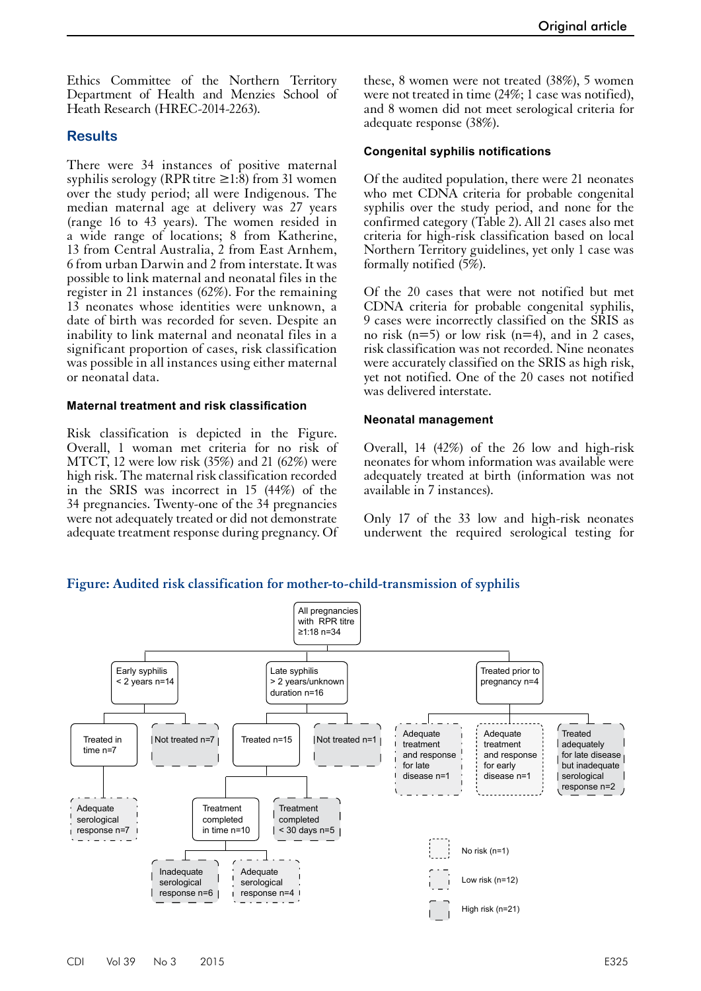Ethics Committee of the Northern Territory Department of Health and Menzies School of Heath Research (HREC-2014-2263).

## **Results**

There were 34 instances of positive maternal syphilis serology (RPR titre  $\geq$ 1:8) from 31 women over the study period; all were Indigenous. The median maternal age at delivery was 27 years (range 16 to 43 years). The women resided in a wide range of locations; 8 from Katherine, 13 from Central Australia, 2 from East Arnhem, 6 from urban Darwin and 2 from interstate. It was possible to link maternal and neonatal files in the register in 21 instances (62%). For the remaining 13 neonates whose identities were unknown, a date of birth was recorded for seven. Despite an inability to link maternal and neonatal files in a significant proportion of cases, risk classification was possible in all instances using either maternal or neonatal data.

#### **Maternal treatment and risk classification**

Risk classification is depicted in the Figure. Overall, 1 woman met criteria for no risk of MTCT, 12 were low risk (35%) and 21 (62%) were high risk. The maternal risk classification recorded in the SRIS was incorrect in 15 (44%) of the 34 pregnancies. Twenty-one of the 34 pregnancies were not adequately treated or did not demonstrate adequate treatment response during pregnancy. Of these, 8 women were not treated (38%), 5 women were not treated in time (24%; 1 case was notified), and 8 women did not meet serological criteria for adequate response (38%).

#### **Congenital syphilis notifications**

Of the audited population, there were 21 neonates who met CDNA criteria for probable congenital syphilis over the study period, and none for the confirmed category (Table 2). All 21 cases also met criteria for high-risk classification based on local Northern Territory guidelines, yet only 1 case was formally notified (5%).

Of the 20 cases that were not notified but met CDNA criteria for probable congenital syphilis, 9 cases were incorrectly classified on the SRIS as no risk  $(n=5)$  or low risk  $(n=4)$ , and in 2 cases, risk classification was not recorded. Nine neonates were accurately classified on the SRIS as high risk, yet not notified. One of the 20 cases not notified was delivered interstate.

#### **Neonatal management**

Overall, 14 (42%) of the 26 low and high-risk neonates for whom information was available were adequately treated at birth (information was not available in 7 instances).

Only 17 of the 33 low and high-risk neonates underwent the required serological testing for

#### **Figure: Audited risk classification for mother-to-child-transmission of syphilis**

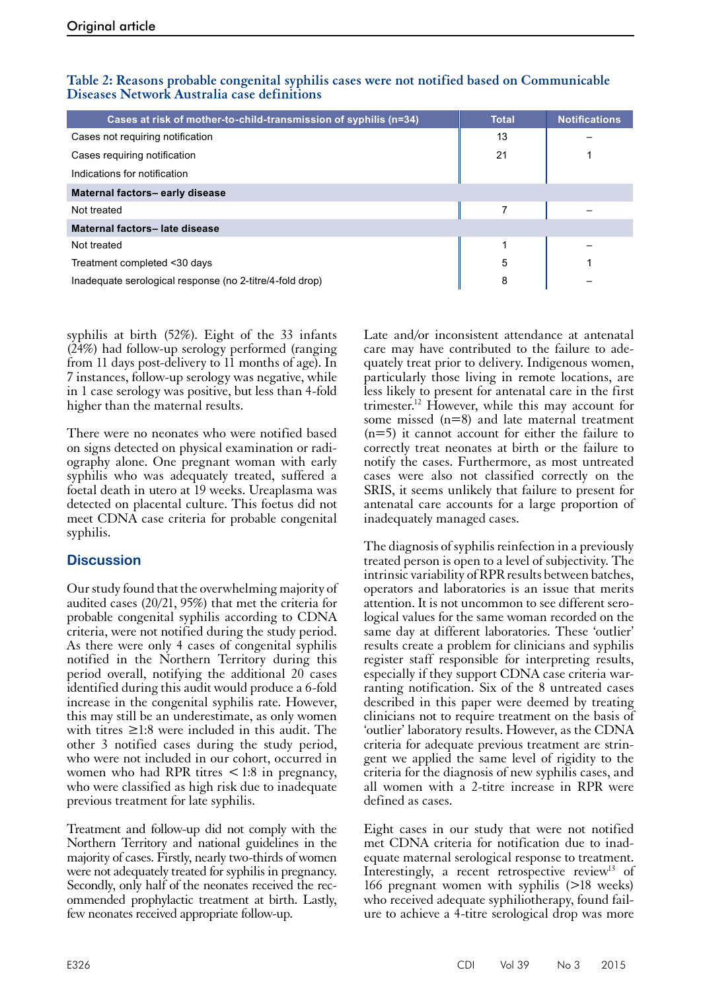| Cases at risk of mother-to-child-transmission of syphilis (n=34) | <b>Total</b> | <b>Notifications</b> |  |
|------------------------------------------------------------------|--------------|----------------------|--|
| Cases not requiring notification                                 | 13           |                      |  |
| Cases requiring notification                                     | 21           |                      |  |
| Indications for notification                                     |              |                      |  |
| Maternal factors-early disease                                   |              |                      |  |
| Not treated                                                      |              |                      |  |
| Maternal factors-late disease                                    |              |                      |  |
| Not treated                                                      |              |                      |  |
| Treatment completed <30 days                                     | 5            |                      |  |
| Inadequate serological response (no 2-titre/4-fold drop)         | 8            |                      |  |

## **Table 2: Reasons probable congenital syphilis cases were not notified based on Communicable Diseases Network Australia case definitions**

syphilis at birth (52%). Eight of the 33 infants (24%) had follow-up serology performed (ranging from 11 days post-delivery to 11 months of age). In 7 instances, follow-up serology was negative, while in 1 case serology was positive, but less than 4-fold higher than the maternal results.

There were no neonates who were notified based on signs detected on physical examination or radiography alone. One pregnant woman with early syphilis who was adequately treated, suffered a foetal death in utero at 19 weeks. Ureaplasma was detected on placental culture. This foetus did not meet CDNA case criteria for probable congenital syphilis.

# **Discussion**

Our study found that the overwhelming majority of audited cases (20/21, 95%) that met the criteria for probable congenital syphilis according to CDNA criteria, were not notified during the study period. As there were only 4 cases of congenital syphilis notified in the Northern Territory during this period overall, notifying the additional 20 cases identified during this audit would produce a 6-fold increase in the congenital syphilis rate. However, this may still be an underestimate, as only women with titres  $\geq$ 1:8 were included in this audit. The other 3 notified cases during the study period, who were not included in our cohort, occurred in women who had RPR titres  $\lt$  1:8 in pregnancy, who were classified as high risk due to inadequate previous treatment for late syphilis.

Treatment and follow-up did not comply with the Northern Territory and national guidelines in the majority of cases. Firstly, nearly two-thirds of women were not adequately treated for syphilis in pregnancy. Secondly, only half of the neonates received the recommended prophylactic treatment at birth. Lastly, few neonates received appropriate follow-up.

Late and/or inconsistent attendance at antenatal care may have contributed to the failure to adequately treat prior to delivery. Indigenous women, particularly those living in remote locations, are less likely to present for antenatal care in the first trimester.12 However, while this may account for some missed  $(n=8)$  and late maternal treatment  $(n=5)$  it cannot account for either the failure to correctly treat neonates at birth or the failure to notify the cases. Furthermore, as most untreated cases were also not classified correctly on the SRIS, it seems unlikely that failure to present for antenatal care accounts for a large proportion of inadequately managed cases.

The diagnosis of syphilis reinfection in a previously treated person is open to a level of subjectivity. The intrinsic variability of RPR results between batches, operators and laboratories is an issue that merits attention. It is not uncommon to see different sero- logical values for the same woman recorded on the same day at different laboratories. These 'outlier' results create a problem for clinicians and syphilis register staff responsible for interpreting results, especially if they support CDNA case criteria war- ranting notification. Six of the 8 untreated cases described in this paper were deemed by treating clinicians not to require treatment on the basis of 'outlier' laboratory results. However, as the CDNA criteria for adequate previous treatment are stringent we applied the same level of rigidity to the criteria for the diagnosis of new syphilis cases, and all women with a 2-titre increase in RPR were defined as cases.

Eight cases in our study that were not notified met CDNA criteria for notification due to inadequate maternal serological response to treatment. Interestingly, a recent retrospective review<sup>13</sup> of 166 pregnant women with syphilis (>18 weeks) who received adequate syphiliotherapy, found failure to achieve a 4-titre serological drop was more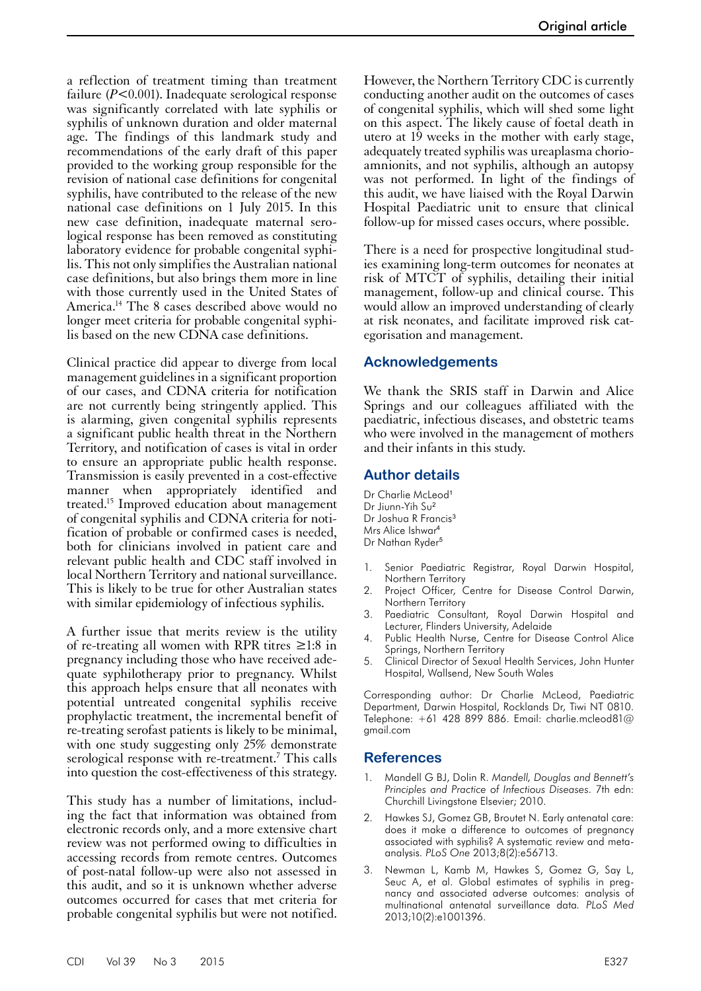a reflection of treatment timing than treatment failure (*P*<0.001). Inadequate serological response was significantly correlated with late syphilis or syphilis of unknown duration and older maternal age. The findings of this landmark study and recommendations of the early draft of this paper provided to the working group responsible for the revision of national case definitions for congenital syphilis, have contributed to the release of the new national case definitions on 1 July 2015. In this new case definition, inadequate maternal serological response has been removed as constituting laboratory evidence for probable congenital syphilis. This not only simplifies the Australian national case definitions, but also brings them more in line with those currently used in the United States of America.14 The 8 cases described above would no longer meet criteria for probable congenital syphilis based on the new CDNA case definitions.

Clinical practice did appear to diverge from local management guidelines in a significant proportion of our cases, and CDNA criteria for notification are not currently being stringently applied. This is alarming, given congenital syphilis represents a significant public health threat in the Northern Territory, and notification of cases is vital in order to ensure an appropriate public health response. Transmission is easily prevented in a cost-effective manner when appropriately identified and treated.15 Improved education about management of congenital syphilis and CDNA criteria for notification of probable or confirmed cases is needed, both for clinicians involved in patient care and relevant public health and CDC staff involved in local Northern Territory and national surveillance. This is likely to be true for other Australian states with similar epidemiology of infectious syphilis.

A further issue that merits review is the utility of re-treating all women with RPR titres  $\geq 1:8$  in pregnancy including those who have received ade- quate syphilotherapy prior to pregnancy. Whilst this approach helps ensure that all neonates with potential untreated congenital syphilis receive prophylactic treatment, the incremental benefit of re-treating serofast patients is likely to be minimal, with one study suggesting only 25% demonstrate serological response with re-treatment.<sup>7</sup> This calls into question the cost-effectiveness of this strategy.

This study has a number of limitations, includ- ing the fact that information was obtained from electronic records only, and a more extensive chart review was not performed owing to difficulties in accessing records from remote centres. Outcomes of post-natal follow-up were also not assessed in this audit, and so it is unknown whether adverse outcomes occurred for cases that met criteria for probable congenital syphilis but were not notified.

However, the Northern Territory CDC is currently conducting another audit on the outcomes of cases of congenital syphilis, which will shed some light on this aspect. The likely cause of foetal death in utero at  $19$  weeks in the mother with early stage, adequately treated syphilis was ureaplasma chorioamnionits, and not syphilis, although an autopsy was not performed. In light of the findings of this audit, we have liaised with the Royal Darwin Hospital Paediatric unit to ensure that clinical follow-up for missed cases occurs, where possible.

There is a need for prospective longitudinal studies examining long-term outcomes for neonates at risk of MTCT of syphilis, detailing their initial management, follow-up and clinical course. This would allow an improved understanding of clearly at risk neonates, and facilitate improved risk categorisation and management.

#### **Acknowledgements**

We thank the SRIS staff in Darwin and Alice Springs and our colleagues affiliated with the paediatric, infectious diseases, and obstetric teams who were involved in the management of mothers and their infants in this study.

#### **Author details**

- Dr Charlie McLeod<sup>1</sup> Dr Jiunn-Yih Su<sup>2</sup> Dr Joshua R Francis<sup>3</sup> Mrs Alice Ishwar<sup>4</sup> Dr Nathan Ryder<sup>5</sup>
- Senior Paediatric Registrar, Royal Darwin Hospital, Northern Territory
- 2. Project Officer, Centre for Disease Control Darwin, Northern Territory
- Paediatric Consultant, Royal Darwin Hospital and Lecturer, Flinders University, Adelaide
- 4. Public Health Nurse, Centre for Disease Control Alice Springs, Northern Territory
- 5. Clinical Director of Sexual Health Services, John Hunter Hospital, Wallsend, New South Wales

Corresponding author: Dr Charlie McLeod, Paediatric Department, Darwin Hospital, Rocklands Dr, Tiwi NT 0810. Telephone: +61 428 899 886. Email: charlie.mcleod81@ gmail.com

## **References**

- 1. Mandell G BJ, Dolin R. *Mandell, Douglas and Bennett's Principles and Practice of Infectious Diseases*. 7th edn: Churchill Livingstone Elsevier; 2010.
- 2. Hawkes SJ, Gomez GB, Broutet N. Early antenatal care: does it make a difference to outcomes of pregnancy associated with syphilis? A systematic review and metaanalysis*. PLoS One* 2013;8(2):e56713.
- 3. Newman L, Kamb M, Hawkes S, Gomez G, Say L, Seuc A, et al. Global estimates of syphilis in pregnancy and associated adverse outcomes: analysis of multinational antenatal surveillance data*. PLoS Med* 2013;10(2):e1001396.